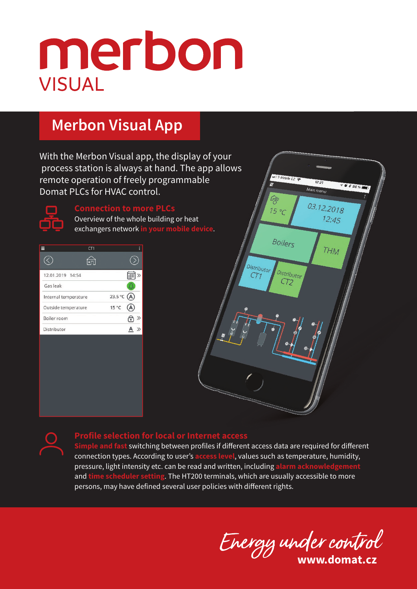# merbon **VISUAL**

## **Merbon Visual App**

With the Merbon Visual app, the display of your process station is always at hand. The app allows remote operation of freely programmable Domat PLCs for HVAC control.



**Connection to more PLCs** Overview of the whole building or heat exchangers network **in your mobile device**.

|                      | CT <sub>1</sub> |                |     |  |
|----------------------|-----------------|----------------|-----|--|
|                      | m               |                |     |  |
| 12.01.2019 14:54     |                 |                |     |  |
| Gas leak             |                 |                |     |  |
| Internal temperature |                 | 23.5 °C        | (A) |  |
| Outside temperature  |                 | $15^{\circ}$ C |     |  |
| Boiler room          |                 |                |     |  |
| Distributor          |                 |                |     |  |





#### **Profile selection for local or**

**Ile and fast** switching between profiles if different access data are required for different connection types. According to user's **access level**, values such as temperature, humidity, pressure, light intensity etc. can be read and written, including alarm a and **time scheduler setting**. The HT200 terminals, which are usually accessible to more persons, may have defined several user policies with different rights.

**www.domat.cz**